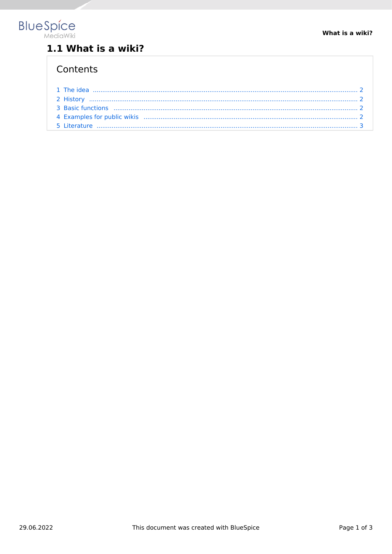

## 1.1 What is a wiki?

#### Contents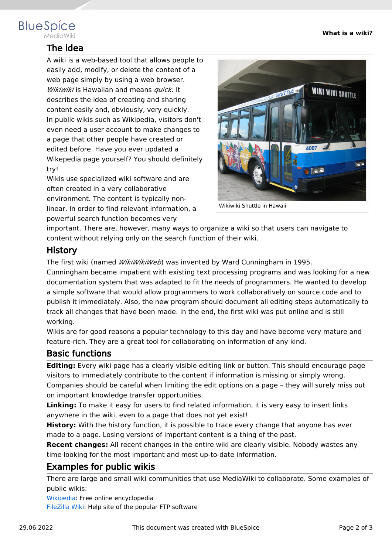# <span id="page-1-0"></span>**BlueSpice**

### The idea

A wiki is a web-based tool that allows people to easily add, modify, or delete the content of a web page simply by using a web browser. *Wikiwiki* is Hawaiian and means *quick*. It describes the idea of creating and sharing content easily and, obviously, very quickly. In public wikis such as Wikipedia, visitors don't even need a user account to make changes to a page that other people have created or edited before. Have you ever updated a Wikepedia page yourself? You should definitely try!

Wikis use specialized wiki software and are often created in a very collaborative environment. The content is typically nonlinear. In order to find relevant information, a powerful search function becomes very



Wikiwiki Shuttle in Hawaii

important. There are, however, many ways to organize a wiki so that users can navigate to content without relying only on the search function of their wiki.

#### <span id="page-1-1"></span>**History**

The first wiki (named *WikiWikiWeb*) was invented by Ward Cunningham in 1995.

Cunningham became impatient with existing text processing programs and was looking for a new documentation system that was adapted to fit the needs of programmers. He wanted to develop a simple software that would allow programmers to work collaboratively on source code and to publish it immediately. Also, the new program should document all editing steps automatically to track all changes that have been made. In the end, the first wiki was put online and is still working.

Wikis are for good reasons a popular technology to this day and have become very mature and feature-rich. They are a great tool for collaborating on information of any kind.

#### <span id="page-1-2"></span>Basic functions

**Editing:** Every wiki page has a clearly visible editing link or button. This should encourage page visitors to immediately contribute to the content if information is missing or simply wrong.

Companies should be careful when limiting the edit options on a page – they will surely miss out on important knowledge transfer opportunities.

**Linking:** To make it easy for users to find related information, it is very easy to insert links anywhere in the wiki, even to a page that does not yet exist!

**History:** With the history function, it is possible to trace every change that anyone has ever made to a page. Losing versions of important content is a thing of the past.

**Recent changes:** All recent changes in the entire wiki are clearly visible. Nobody wastes any time looking for the most important and most up-to-date information.

#### <span id="page-1-3"></span>Examples for public wikis

There are large and small wiki communities that use MediaWiki to collaborate. Some examples of public wikis:

[Wikipedia:](http://www.wikipedia.org) Free online encyclopedia

[FileZilla Wiki:](https://wiki.filezilla-project.org) Help site of the popular FTP software